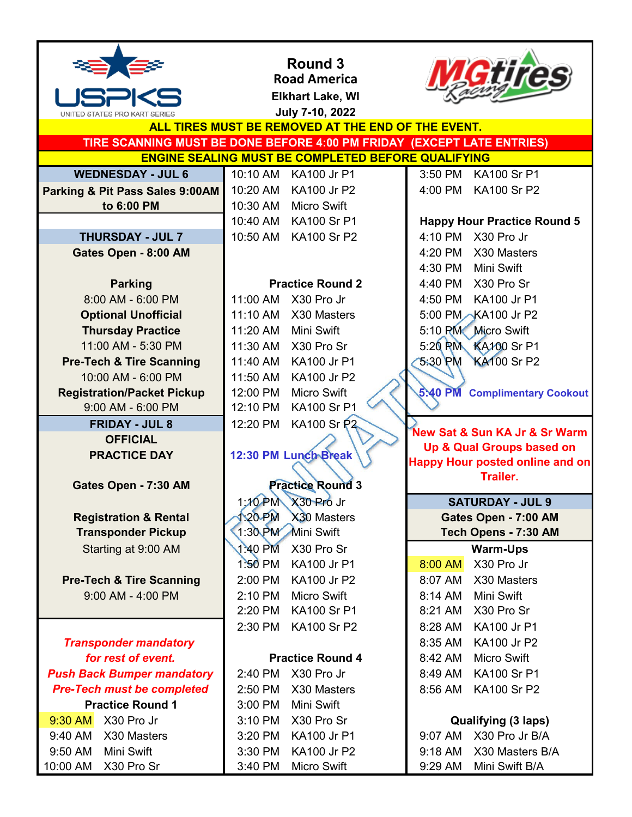

## **Round 3 Road America**

**Elkhart Lake, WI**



|                                                           | Elkhart Lake, WI                                                       |                                                           |  |
|-----------------------------------------------------------|------------------------------------------------------------------------|-----------------------------------------------------------|--|
| UNITED STATES PRO KART SERIES                             | July 7-10, 2022                                                        |                                                           |  |
| ALL TIRES MUST BE REMOVED AT THE END OF THE EVENT.        |                                                                        |                                                           |  |
|                                                           | TIRE SCANNING MUST BE DONE BEFORE 4:00 PM FRIDAY (EXCEPT LATE ENTRIES) |                                                           |  |
| <b>ENGINE SEALING MUST BE COMPLETED BEFORE QUALIFYING</b> |                                                                        |                                                           |  |
| <b>WEDNESDAY - JUL 6</b>                                  | 10:10 AM KA100 Jr P1                                                   | 3:50 PM KA100 Sr P1                                       |  |
| Parking & Pit Pass Sales 9:00AM                           | 10:20 AM<br>KA100 Jr P2                                                | 4:00 PM KA100 Sr P2                                       |  |
| to 6:00 PM                                                | 10:30 AM<br><b>Micro Swift</b>                                         |                                                           |  |
|                                                           | KA100 Sr P1<br>10:40 AM                                                | <b>Happy Hour Practice Round 5</b>                        |  |
| <b>THURSDAY - JUL 7</b>                                   | 10:50 AM<br><b>KA100 Sr P2</b>                                         | 4:10 PM<br>X30 Pro Jr                                     |  |
| Gates Open - 8:00 AM                                      |                                                                        | 4:20 PM X30 Masters                                       |  |
|                                                           |                                                                        | 4:30 PM<br>Mini Swift                                     |  |
| <b>Parking</b>                                            | <b>Practice Round 2</b>                                                | 4:40 PM X30 Pro Sr                                        |  |
| 8:00 AM - 6:00 PM                                         | 11:00 AM<br>X30 Pro Jr                                                 | 4:50 PM<br>KA100 Jr P1                                    |  |
| <b>Optional Unofficial</b>                                | 11:10 AM<br>X30 Masters                                                | 5:00 PM KA100 Jr P2                                       |  |
| <b>Thursday Practice</b>                                  | Mini Swift<br>11:20 AM                                                 | 5:10 PM Micro Swift                                       |  |
| 11:00 AM - 5:30 PM                                        | 11:30 AM<br>X30 Pro Sr                                                 | 5:20 PM KA100 Sr P1                                       |  |
| <b>Pre-Tech &amp; Tire Scanning</b>                       | 11:40 AM<br>KA100 Jr P1                                                | <b>KA100 Sr P2</b><br>5:30 PM                             |  |
| 10:00 AM - 6:00 PM                                        | KA100 Jr P2<br>11:50 AM                                                |                                                           |  |
| <b>Registration/Packet Pickup</b>                         | <b>Micro Swift</b><br>12:00 PM                                         | 5:40 PM Complimentary Cookout                             |  |
| 9:00 AM - 6:00 PM                                         | <b>KA100 Sr P1</b><br>12:10 PM                                         |                                                           |  |
| <b>FRIDAY - JUL 8</b>                                     | <b>KA100 Sr P2</b><br>12:20 PM                                         |                                                           |  |
| <b>OFFICIAL</b>                                           |                                                                        | New Sat & Sun KA Jr & Sr Warm                             |  |
| <b>PRACTICE DAY</b>                                       | 12:30 PM Lunch Break                                                   | Up & Qual Groups based on                                 |  |
|                                                           |                                                                        | <b>Happy Hour posted online and on</b><br><b>Trailer.</b> |  |
| Gates Open - 7:30 AM                                      | <b>Practice Round 3</b>                                                |                                                           |  |
|                                                           | $1:10$ PM<br>X30 Pro Jr                                                | <b>SATURDAY - JUL 9</b>                                   |  |
| <b>Registration &amp; Rental</b>                          | <b>120 PM</b><br>X30 Masters                                           | Gates Open - 7:00 AM                                      |  |
| <b>Transponder Pickup</b>                                 | 1:30 PM Mini Swift                                                     | Tech Opens - 7:30 AM                                      |  |
| Starting at 9:00 AM                                       | 1:40 PM X30 Pro Sr                                                     | <b>Warm-Ups</b>                                           |  |
|                                                           | 1:50 PM<br>KA100 Jr P1                                                 | X30 Pro Jr<br>8:00 AM                                     |  |
| <b>Pre-Tech &amp; Tire Scanning</b>                       | 2:00 PM<br>KA100 Jr P2                                                 | X30 Masters<br>8:07 AM                                    |  |
| 9:00 AM - 4:00 PM                                         | <b>Micro Swift</b><br>2:10 PM                                          | Mini Swift<br>8:14 AM                                     |  |
|                                                           | <b>KA100 Sr P1</b><br>2:20 PM                                          | X30 Pro Sr<br>8:21 AM                                     |  |
|                                                           | <b>KA100 Sr P2</b><br>2:30 PM                                          | 8:28 AM<br><b>KA100 Jr P1</b>                             |  |
| <b>Transponder mandatory</b>                              |                                                                        | 8:35 AM<br><b>KA100 Jr P2</b>                             |  |
| for rest of event.                                        | <b>Practice Round 4</b>                                                | 8:42 AM<br>Micro Swift                                    |  |
| <b>Push Back Bumper mandatory</b>                         | X30 Pro Jr<br>2:40 PM                                                  | <b>KA100 Sr P1</b><br>8:49 AM                             |  |
|                                                           |                                                                        |                                                           |  |
|                                                           |                                                                        |                                                           |  |
| <b>Pre-Tech must be completed</b>                         | 2:50 PM<br>X30 Masters                                                 | 8:56 AM<br><b>KA100 Sr P2</b>                             |  |
| <b>Practice Round 1</b>                                   | Mini Swift<br>3:00 PM                                                  |                                                           |  |
| 9:30 AM<br>X30 Pro Jr                                     | X30 Pro Sr<br>3:10 PM                                                  | <b>Qualifying (3 laps)</b>                                |  |
| 9:40 AM<br>X30 Masters                                    | KA100 Jr P1<br>3:20 PM                                                 | 9:07 AM<br>X30 Pro Jr B/A                                 |  |
| Mini Swift<br>9:50 AM<br>10:00 AM<br>X30 Pro Sr           | KA100 Jr P2<br>3:30 PM<br>3:40 PM<br><b>Micro Swift</b>                | 9:18 AM<br>X30 Masters B/A<br>9:29 AM<br>Mini Swift B/A   |  |